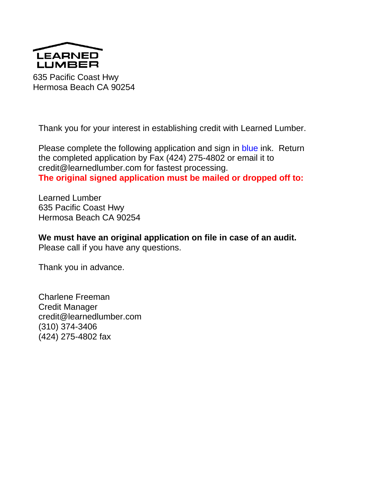

635 Pacific Coast Hwy Hermosa Beach CA 90254

Thank you for your interest in establishing credit with Learned Lumber.

Please complete the following application and sign in blue ink. Return the completed application by Fax (424) 275-4802 or email it to credit@learnedlumber.com for fastest processing.

**The original signed application must be mailed or dropped off to:**

Learned Lumber 635 Pacific Coast Hwy Hermosa Beach CA 90254

**We must have an original application on file in case of an audit.**  Please call if you have any questions.

Thank you in advance.

Charlene Freeman Credit Manager credit@learnedlumber.com (310) 374-3406 (424) 275-4802 fax